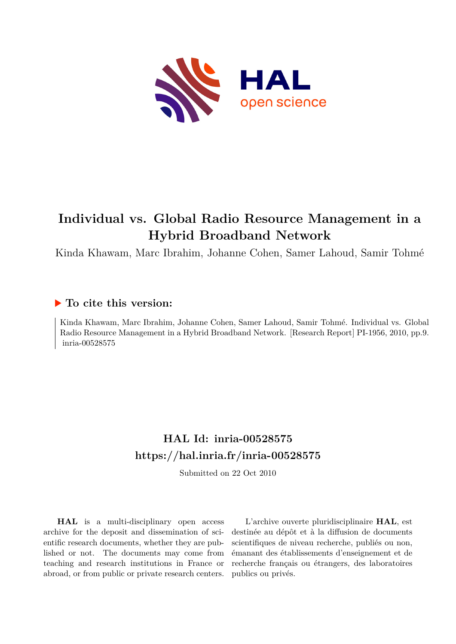

# **Individual vs. Global Radio Resource Management in a Hybrid Broadband Network**

Kinda Khawam, Marc Ibrahim, Johanne Cohen, Samer Lahoud, Samir Tohmé

# **To cite this version:**

Kinda Khawam, Marc Ibrahim, Johanne Cohen, Samer Lahoud, Samir Tohmé. Individual vs. Global Radio Resource Management in a Hybrid Broadband Network. [Research Report] PI-1956, 2010, pp.9.  $inria-00528575$ 

# **HAL Id: inria-00528575 <https://hal.inria.fr/inria-00528575>**

Submitted on 22 Oct 2010

**HAL** is a multi-disciplinary open access archive for the deposit and dissemination of scientific research documents, whether they are published or not. The documents may come from teaching and research institutions in France or abroad, or from public or private research centers.

L'archive ouverte pluridisciplinaire **HAL**, est destinée au dépôt et à la diffusion de documents scientifiques de niveau recherche, publiés ou non, émanant des établissements d'enseignement et de recherche français ou étrangers, des laboratoires publics ou privés.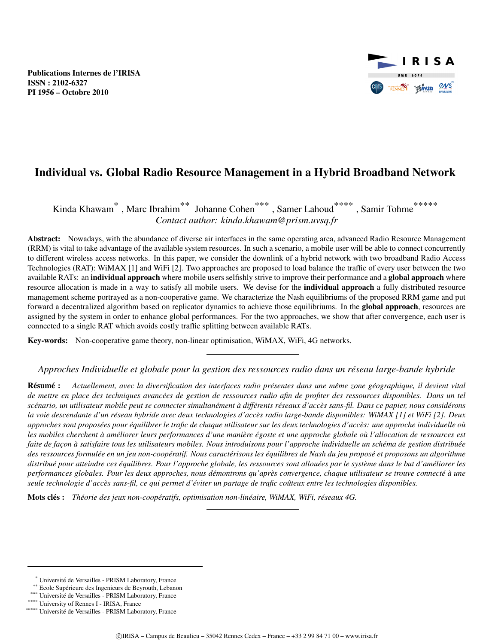

# Individual vs. Global Radio Resource Management in a Hybrid Broadband Network

Kinda Khawam\*, Marc Ibrahim\*\* Johanne Cohen\*\*\*, Samer Lahoud\*\*\*\*, Samir Tohme\*\*\*\*\* *Contact author: kinda.khawam@prism.uvsq.fr*

Abstract: Nowadays, with the abundance of diverse air interfaces in the same operating area, advanced Radio Resource Management (RRM) is vital to take advantage of the available system resources. In such a scenario, a mobile user will be able to connect concurrently to different wireless access networks. In this paper, we consider the downlink of a hybrid network with two broadband Radio Access Technologies (RAT): WiMAX [1] and WiFi [2]. Two approaches are proposed to load balance the traffic of every user between the two available RATs: an individual approach where mobile users selfishly strive to improve their performance and a global approach where resource allocation is made in a way to satisfy all mobile users. We devise for the individual approach a fully distributed resource management scheme portrayed as a non-cooperative game. We characterize the Nash equilibriums of the proposed RRM game and put forward a decentralized algorithm based on replicator dynamics to achieve those equilibriums. In the **global approach**, resources are assigned by the system in order to enhance global performances. For the two approaches, we show that after convergence, each user is connected to a single RAT which avoids costly traffic splitting between available RATs.

Key-words: Non-cooperative game theory, non-linear optimisation, WiMAX, WiFi, 4G networks.

*Approches Individuelle et globale pour la gestion des ressources radio dans un reseau large-bande hybride ´*

Résumé : Actuellement, avec la diversification des interfaces radio présentes dans une même zone géographique, il devient vital *de mettre en place des techniques avancees de gestion de ressources radio afin de profiter des ressources disponibles. Dans un tel ´* scénario, un utilisateur mobile peut se connecter simultanément à différents réseaux d'accès sans-fil. Dans ce papier, nous considérons *la voie descendante d'un reseau hybride avec deux technologies d'acc ´ es radio large-bande disponibles: WiMAX [1] et WiFi [2]. Deux ` approches sont proposees pour ´ equilibrer le trafic de chaque utilisateur sur les deux technologies d'acc ´ es: une approche individuelle o ` u` les mobiles cherchent a am ` eliorer leurs performances d'une mani ´ ere ` egoste et une approche globale o ´ u l'allocation de ressources est ` faite de façon à satisfaire tous les utilisateurs mobiles. Nous introduisons pour l'approche individuelle un schéma de gestion distribuée des ressources formulee en un jeu non-coop ´ eratif. Nous caract ´ erisons les ´ equilibres de Nash du jeu propos ´ e et proposons un algorithme ´ distribué pour atteindre ces équilibres. Pour l'approche globale, les ressources sont allouées par le système dans le but d'améliorer les performances globales. Pour les deux approches, nous demontrons qu'apr ´ es convergence, chaque utilisateur se trouve connect ` e´ a une ` seule technologie d'acces sans-fil, ce qui permet d' ` eviter un partage de trafic co ´ uteux entre les technologies disponibles. ˆ*

Mots cles : ´ *Theorie des jeux non-coop ´ eratifs, optimisation non-lin ´ eaire, WiMAX, WiFi, r ´ eseaux 4G. ´*

<sup>\*</sup> Universite de Versailles - PRISM Laboratory, France ´

<sup>\*\*</sup> Ecole Supérieure des Ingenieurs de Beyrouth, Lebanon

<sup>\*\*\*</sup> Université de Versailles - PRISM Laboratory, France

<sup>\*\*\*\*</sup> University of Rennes I - IRISA, France

<sup>\*\*\*\*\*</sup> Université de Versailles - PRISM Laboratory, France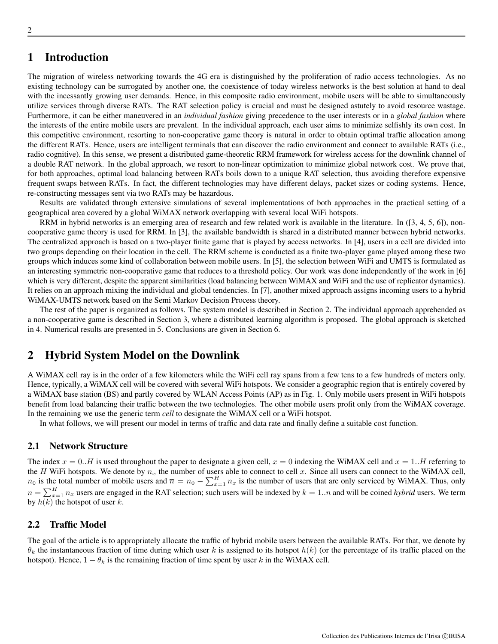# 1 Introduction

The migration of wireless networking towards the 4G era is distinguished by the proliferation of radio access technologies. As no existing technology can be surrogated by another one, the coexistence of today wireless networks is the best solution at hand to deal with the incessantly growing user demands. Hence, in this composite radio environment, mobile users will be able to simultaneously utilize services through diverse RATs. The RAT selection policy is crucial and must be designed astutely to avoid resource wastage. Furthermore, it can be either maneuvered in an *individual fashion* giving precedence to the user interests or in a *global fashion* where the interests of the entire mobile users are prevalent. In the individual approach, each user aims to minimize selfishly its own cost. In this competitive environment, resorting to non-cooperative game theory is natural in order to obtain optimal traffic allocation among the different RATs. Hence, users are intelligent terminals that can discover the radio environment and connect to available RATs (i.e., radio cognitive). In this sense, we present a distributed game-theoretic RRM framework for wireless access for the downlink channel of a double RAT network. In the global approach, we resort to non-linear optimization to minimize global network cost. We prove that, for both approaches, optimal load balancing between RATs boils down to a unique RAT selection, thus avoiding therefore expensive frequent swaps between RATs. In fact, the different technologies may have different delays, packet sizes or coding systems. Hence, re-constructing messages sent via two RATs may be hazardous.

Results are validated through extensive simulations of several implementations of both approaches in the practical setting of a geographical area covered by a global WiMAX network overlapping with several local WiFi hotspots.

RRM in hybrid networks is an emerging area of research and few related work is available in the literature. In ([3, 4, 5, 6]), noncooperative game theory is used for RRM. In [3], the available bandwidth is shared in a distributed manner between hybrid networks. The centralized approach is based on a two-player finite game that is played by access networks. In [4], users in a cell are divided into two groups depending on their location in the cell. The RRM scheme is conducted as a finite two-player game played among these two groups which induces some kind of collaboration between mobile users. In [5], the selection between WiFi and UMTS is formulated as an interesting symmetric non-cooperative game that reduces to a threshold policy. Our work was done independently of the work in [6] which is very different, despite the apparent similarities (load balancing between WiMAX and WiFi and the use of replicator dynamics). It relies on an approach mixing the individual and global tendencies. In [7], another mixed approach assigns incoming users to a hybrid WiMAX-UMTS network based on the Semi Markov Decision Process theory.

The rest of the paper is organized as follows. The system model is described in Section 2. The individual approach apprehended as a non-cooperative game is described in Section 3, where a distributed learning algorithm is proposed. The global approach is sketched in 4. Numerical results are presented in 5. Conclusions are given in Section 6.

# 2 Hybrid System Model on the Downlink

A WiMAX cell ray is in the order of a few kilometers while the WiFi cell ray spans from a few tens to a few hundreds of meters only. Hence, typically, a WiMAX cell will be covered with several WiFi hotspots. We consider a geographic region that is entirely covered by a WiMAX base station (BS) and partly covered by WLAN Access Points (AP) as in Fig. 1. Only mobile users present in WiFi hotspots benefit from load balancing their traffic between the two technologies. The other mobile users profit only from the WiMAX coverage. In the remaining we use the generic term *cell* to designate the WiMAX cell or a WiFi hotspot.

In what follows, we will present our model in terms of traffic and data rate and finally define a suitable cost function.

#### 2.1 Network Structure

The index  $x = 0..H$  is used throughout the paper to designate a given cell,  $x = 0$  indexing the WiMAX cell and  $x = 1..H$  referring to the H WiFi hotspots. We denote by  $n_x$  the number of users able to connect to cell x. Since all users can connect to the WiMAX cell,  $n_0$  is the total number of mobile users and  $\overline{n} = n_0 - \sum_{x=1}^H n_x$  is the number of users that are only serviced by WiMAX. Thus, only  $n = \sum_{x=1}^{H} n_x$  users are engaged in the RAT selection; such users will be indexed by  $k = 1..n$  and will be coined *hybrid* users. We term by  $h(k)$  the hotspot of user k.

#### 2.2 Traffic Model

The goal of the article is to appropriately allocate the traffic of hybrid mobile users between the available RATs. For that, we denote by  $\theta_k$  the instantaneous fraction of time during which user k is assigned to its hotspot  $h(k)$  (or the percentage of its traffic placed on the hotspot). Hence,  $1 - \theta_k$  is the remaining fraction of time spent by user k in the WiMAX cell.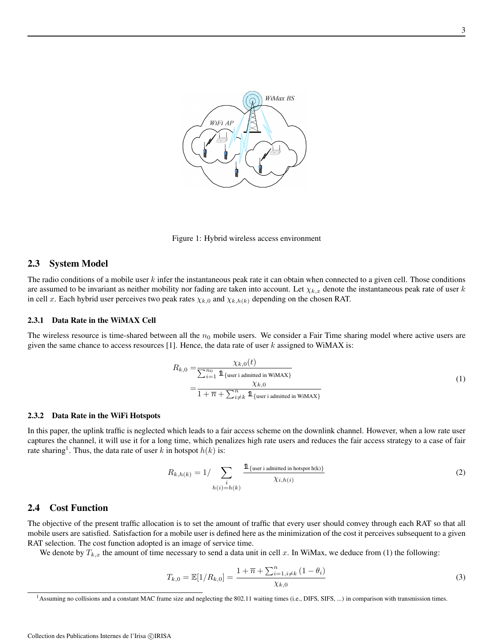

Figure 1: Hybrid wireless access environment

#### 2.3 System Model

The radio conditions of a mobile user  $k$  infer the instantaneous peak rate it can obtain when connected to a given cell. Those conditions are assumed to be invariant as neither mobility nor fading are taken into account. Let  $\chi_{k,x}$  denote the instantaneous peak rate of user k in cell x. Each hybrid user perceives two peak rates  $\chi_{k,0}$  and  $\chi_{k,h(k)}$  depending on the chosen RAT.

#### 2.3.1 Data Rate in the WiMAX Cell

The wireless resource is time-shared between all the  $n_0$  mobile users. We consider a Fair Time sharing model where active users are given the same chance to access resources [1]. Hence, the data rate of user  $k$  assigned to WiMAX is:

$$
R_{k,0} = \frac{\chi_{k,0}(t)}{\sum_{i=1}^{n_0} \mathbb{1}_{\{\text{user } i \text{ admitted } \text{in WiMAX}\}}}
$$
  
= 
$$
\frac{\chi_{k,0}}{1 + \overline{n} + \sum_{i \neq k}^{n} \mathbb{1}_{\{\text{user } i \text{ admitted } \text{in WiMAX}\}}}
$$
(1)

#### 2.3.2 Data Rate in the WiFi Hotspots

In this paper, the uplink traffic is neglected which leads to a fair access scheme on the downlink channel. However, when a low rate user captures the channel, it will use it for a long time, which penalizes high rate users and reduces the fair access strategy to a case of fair rate sharing<sup>1</sup>. Thus, the data rate of user k in hotspot  $h(k)$  is:

$$
R_{k,h(k)} = 1/\sum_{\substack{i \\ h(i) = h(k)}} \frac{\mathbb{1}_{\{\text{user } i \text{ admitted } \text{in hot spot } h(k)\}}}{\chi_{i,h(i)}}
$$
(2)

#### 2.4 Cost Function

The objective of the present traffic allocation is to set the amount of traffic that every user should convey through each RAT so that all mobile users are satisfied. Satisfaction for a mobile user is defined here as the minimization of the cost it perceives subsequent to a given RAT selection. The cost function adopted is an image of service time.

We denote by  $T_{k,x}$  the amount of time necessary to send a data unit in cell x. In WiMax, we deduce from (1) the following:

$$
T_{k,0} = \mathbb{E}[1/R_{k,0}] = \frac{1 + \overline{n} + \sum_{i=1, i \neq k}^{n} (1 - \theta_i)}{\chi_{k,0}}
$$
(3)

<sup>&</sup>lt;sup>1</sup>Assuming no collisions and a constant MAC frame size and neglecting the 802.11 waiting times (i.e., DIFS, SIFS, ...) in comparison with transmission times.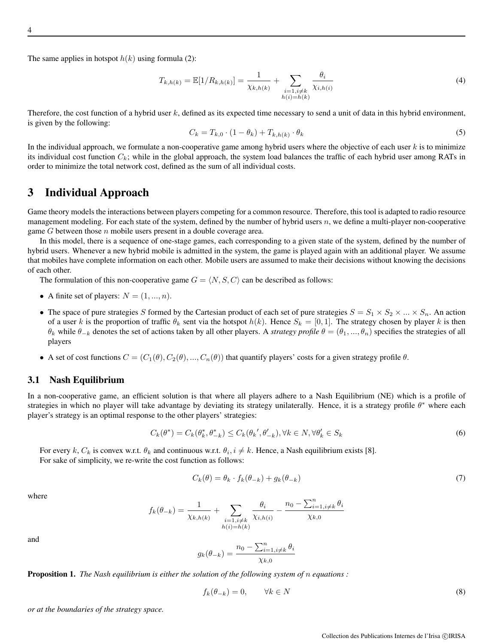The same applies in hotspot  $h(k)$  using formula (2):

$$
T_{k,h(k)} = \mathbb{E}[1/R_{k,h(k)}] = \frac{1}{\chi_{k,h(k)}} + \sum_{\substack{i=1, i \neq k \\ h(i) = h(k)}} \frac{\theta_i}{\chi_{i,h(i)}}
$$
(4)

Therefore, the cost function of a hybrid user  $k$ , defined as its expected time necessary to send a unit of data in this hybrid environment, is given by the following:

$$
C_k = T_{k,0} \cdot (1 - \theta_k) + T_{k,h(k)} \cdot \theta_k \tag{5}
$$

In the individual approach, we formulate a non-cooperative game among hybrid users where the objective of each user  $k$  is to minimize its individual cost function  $C_k$ ; while in the global approach, the system load balances the traffic of each hybrid user among RATs in order to minimize the total network cost, defined as the sum of all individual costs.

# 3 Individual Approach

Game theory models the interactions between players competing for a common resource. Therefore, this tool is adapted to radio resource management modeling. For each state of the system, defined by the number of hybrid users  $n$ , we define a multi-player non-cooperative game  $G$  between those  $n$  mobile users present in a double coverage area.

In this model, there is a sequence of one-stage games, each corresponding to a given state of the system, defined by the number of hybrid users. Whenever a new hybrid mobile is admitted in the system, the game is played again with an additional player. We assume that mobiles have complete information on each other. Mobile users are assumed to make their decisions without knowing the decisions of each other.

The formulation of this non-cooperative game  $G = \langle N, S, C \rangle$  can be described as follows:

- A finite set of players:  $N = (1, ..., n)$ .
- The space of pure strategies S formed by the Cartesian product of each set of pure strategies  $S = S_1 \times S_2 \times ... \times S_n$ . An action of a user k is the proportion of traffic  $\theta_k$  sent via the hotspot  $h(k)$ . Hence  $S_k = [0,1]$ . The strategy chosen by player k is then  $\theta_k$  while  $\theta_{-k}$  denotes the set of actions taken by all other players. A *strategy profile*  $\theta = (\theta_1, ..., \theta_n)$  specifies the strategies of all players
- A set of cost functions  $C = (C_1(\theta), C_2(\theta), ..., C_n(\theta))$  that quantify players' costs for a given strategy profile  $\theta$ .

#### 3.1 Nash Equilibrium

In a non-cooperative game, an efficient solution is that where all players adhere to a Nash Equilibrium (NE) which is a profile of strategies in which no player will take advantage by deviating its strategy unilaterally. Hence, it is a strategy profile  $\theta^*$  where each player's strategy is an optimal response to the other players' strategies:

$$
C_k(\theta^*) = C_k(\theta_k^*, \theta_{-k}^*) \le C_k(\theta_k', \theta_{-k}'), \forall k \in N, \forall \theta_k' \in S_k
$$
\n
$$
(6)
$$

For every k,  $C_k$  is convex w.r.t.  $\theta_k$  and continuous w.r.t.  $\theta_i$ ,  $i \neq k$ . Hence, a Nash equilibrium exists [8]. For sake of simplicity, we re-write the cost function as follows:

$$
C_k(\theta) = \theta_k \cdot f_k(\theta_{-k}) + g_k(\theta_{-k})
$$
\n<sup>(7)</sup>

where

$$
f_k(\theta_{-k}) = \frac{1}{\chi_{k,h(k)}} + \sum_{\substack{i=1, i \neq k \\ h(i) = h(k)}} \frac{\theta_i}{\chi_{i,h(i)}} - \frac{n_0 - \sum_{i=1, i \neq k}^n \theta_i}{\chi_{k,0}}
$$

and

$$
g_k(\theta_{-k}) = \frac{n_0 - \sum_{i=1, i \neq k}^n \theta_i}{\chi_{k,0}}
$$

Proposition 1. *The Nash equilibrium is either the solution of the following system of* n *equations :*

$$
f_k(\theta_{-k}) = 0, \qquad \forall k \in N \tag{8}
$$

*or at the boundaries of the strategy space.*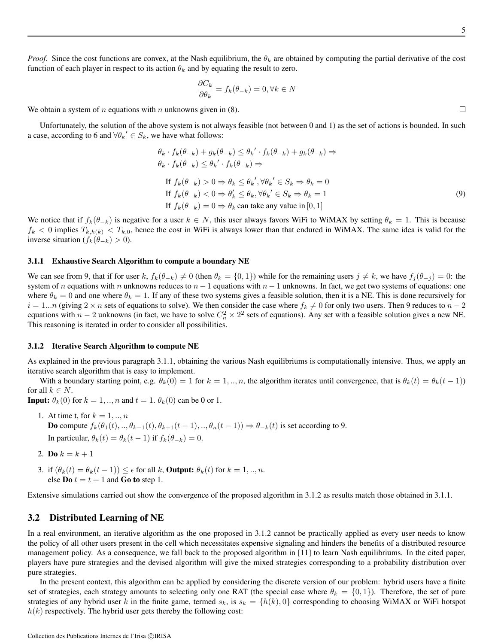$\Box$ 

*Proof.* Since the cost functions are convex, at the Nash equilibrium, the  $\theta_k$  are obtained by computing the partial derivative of the cost function of each player in respect to its action  $\theta_k$  and by equating the result to zero.

$$
\frac{\partial C_k}{\partial \theta_k} = f_k(\theta_{-k}) = 0, \forall k \in N
$$

We obtain a system of n equations with n unknowns given in  $(8)$ .

Unfortunately, the solution of the above system is not always feasible (not between 0 and 1) as the set of actions is bounded. In such a case, according to 6 and  $\forall \theta_k' \in S_k$ , we have what follows:

$$
\theta_k \cdot f_k(\theta_{-k}) + g_k(\theta_{-k}) \le \theta_k' \cdot f_k(\theta_{-k}) + g_k(\theta_{-k}) \Rightarrow \n\theta_k \cdot f_k(\theta_{-k}) \le \theta_k' \cdot f_k(\theta_{-k}) \Rightarrow \n\text{If } f_k(\theta_{-k}) > 0 \Rightarrow \theta_k \le \theta_k', \forall \theta_k' \in S_k \Rightarrow \theta_k = 0 \n\text{If } f_k(\theta_{-k}) < 0 \Rightarrow \theta'_k \le \theta_k, \forall \theta_k' \in S_k \Rightarrow \theta_k = 1 \n\text{If } f_k(\theta_{-k}) = 0 \Rightarrow \theta_k \text{ can take any value in } [0, 1]
$$
\n(9)

We notice that if  $f_k(\theta_{-k})$  is negative for a user  $k \in N$ , this user always favors WiFi to WiMAX by setting  $\theta_k = 1$ . This is because  $f_k < 0$  implies  $T_{k,h(k)} < T_{k,0}$ , hence the cost in WiFi is always lower than that endured in WiMAX. The same idea is valid for the inverse situation ( $f_k(\theta_{-k}) > 0$ ).

#### 3.1.1 Exhaustive Search Algorithm to compute a boundary NE

We can see from 9, that if for user k,  $f_k(\theta_{-k}) \neq 0$  (then  $\theta_k = \{0,1\}$ ) while for the remaining users  $j \neq k$ , we have  $f_j(\theta_{-j}) = 0$ : the system of n equations with n unknowns reduces to  $n - 1$  equations with  $n - 1$  unknowns. In fact, we get two systems of equations: one where  $\theta_k = 0$  and one where  $\theta_k = 1$ . If any of these two systems gives a feasible solution, then it is a NE. This is done recursively for  $i = 1...n$  (giving  $2 \times n$  sets of equations to solve). We then consider the case where  $f_k \neq 0$  for only two users. Then 9 reduces to  $n - 2$ equations with  $n-2$  unknowns (in fact, we have to solve  $C_n^2 \times 2^2$  sets of equations). Any set with a feasible solution gives a new NE. This reasoning is iterated in order to consider all possibilities.

#### 3.1.2 Iterative Search Algorithm to compute NE

As explained in the previous paragraph 3.1.1, obtaining the various Nash equilibriums is computationally intensive. Thus, we apply an iterative search algorithm that is easy to implement.

With a boundary starting point, e.g.  $\theta_k(0) = 1$  for  $k = 1, ..., n$ , the algorithm iterates until convergence, that is  $\theta_k(t) = \theta_k(t-1)$ ) for all  $k \in N$ .

**Input:**  $\theta_k(0)$  for  $k = 1, \dots, n$  and  $t = 1$ .  $\theta_k(0)$  can be 0 or 1.

- 1. At time t, for  $k = 1, \ldots, n$ **Do** compute  $f_k(\theta_1(t), ..., \theta_{k-1}(t), \theta_{k+1}(t-1), ..., \theta_n(t-1)) \Rightarrow \theta_{-k}(t)$  is set according to 9. In particular,  $\theta_k(t) = \theta_k(t-1)$  if  $f_k(\theta_{-k}) = 0$ .
- 2. Do  $k = k + 1$
- 3. if  $(\theta_k(t) = \theta_k(t-1)) \leq \epsilon$  for all k, **Output:**  $\theta_k(t)$  for  $k = 1, ..., n$ . else **Do**  $t = t + 1$  and **Go to** step 1.

Extensive simulations carried out show the convergence of the proposed algorithm in 3.1.2 as results match those obtained in 3.1.1.

#### 3.2 Distributed Learning of NE

In a real environment, an iterative algorithm as the one proposed in 3.1.2 cannot be practically applied as every user needs to know the policy of all other users present in the cell which necessitates expensive signaling and hinders the benefits of a distributed resource management policy. As a consequence, we fall back to the proposed algorithm in [11] to learn Nash equilibriums. In the cited paper, players have pure strategies and the devised algorithm will give the mixed strategies corresponding to a probability distribution over pure strategies.

In the present context, this algorithm can be applied by considering the discrete version of our problem: hybrid users have a finite set of strategies, each strategy amounts to selecting only one RAT (the special case where  $\theta_k = \{0, 1\}$ ). Therefore, the set of pure strategies of any hybrid user k in the finite game, termed  $s_k$ , is  $s_k = \{h(k), 0\}$  corresponding to choosing WiMAX or WiFi hotspot  $h(k)$  respectively. The hybrid user gets thereby the following cost: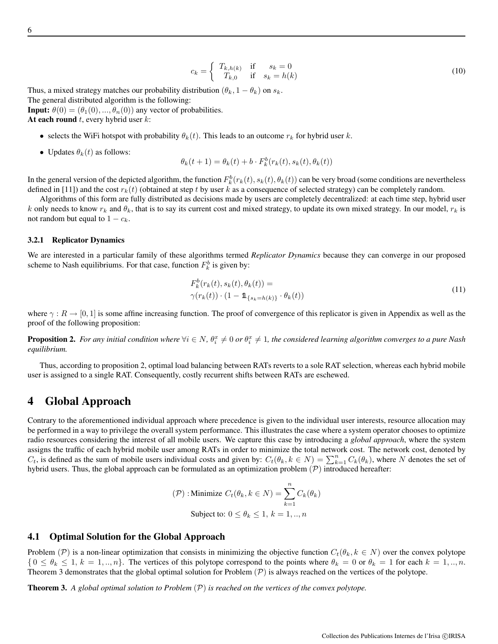$$
c_k = \begin{cases} T_{k,h(k)} & \text{if } s_k = 0\\ T_{k,0} & \text{if } s_k = h(k) \end{cases} \tag{10}
$$

Thus, a mixed strategy matches our probability distribution  $(\theta_k, 1 - \theta_k)$  on  $s_k$ .

The general distributed algorithm is the following:

**Input:**  $\theta(0) = (\theta_1(0), ..., \theta_n(0))$  any vector of probabilities.

At each round  $t$ , every hybrid user  $k$ :

- selects the WiFi hotspot with probability  $\theta_k(t)$ . This leads to an outcome  $r_k$  for hybrid user k.
- Updates  $\theta_k(t)$  as follows:

$$
\theta_k(t+1) = \theta_k(t) + b \cdot F_k^b(r_k(t), s_k(t), \theta_k(t))
$$

In the general version of the depicted algorithm, the function  $F_k^b(r_k(t), s_k(t), \theta_k(t))$  can be very broad (some conditions are nevertheless defined in [11]) and the cost  $r_k(t)$  (obtained at step t by user k as a consequence of selected strategy) can be completely random.

Algorithms of this form are fully distributed as decisions made by users are completely decentralized: at each time step, hybrid user k only needs to know  $r_k$  and  $\theta_k$ , that is to say its current cost and mixed strategy, to update its own mixed strategy. In our model,  $r_k$  is not random but equal to  $1 - c_k$ .

#### 3.2.1 Replicator Dynamics

We are interested in a particular family of these algorithms termed *Replicator Dynamics* because they can converge in our proposed scheme to Nash equilibriums. For that case, function  $F_k^b$  is given by:

$$
F_k^b(r_k(t), s_k(t), \theta_k(t)) =
$$
  
\n
$$
\gamma(r_k(t)) \cdot (1 - \mathbf{1}_{\{s_k = h(k)\}} \cdot \theta_k(t))
$$
\n(11)

where  $\gamma : R \to [0, 1]$  is some affine increasing function. The proof of convergence of this replicator is given in Appendix as well as the proof of the following proposition:

**Proposition 2.** For any initial condition where  $\forall i \in N$ ,  $\theta_i^x \neq 0$  or  $\theta_i^x \neq 1$ , the considered learning algorithm converges to a pure Nash *equilibrium.*

Thus, according to proposition 2, optimal load balancing between RATs reverts to a sole RAT selection, whereas each hybrid mobile user is assigned to a single RAT. Consequently, costly recurrent shifts between RATs are eschewed.

## 4 Global Approach

Contrary to the aforementioned individual approach where precedence is given to the individual user interests, resource allocation may be performed in a way to privilege the overall system performance. This illustrates the case where a system operator chooses to optimize radio resources considering the interest of all mobile users. We capture this case by introducing a *global approach*, where the system assigns the traffic of each hybrid mobile user among RATs in order to minimize the total network cost. The network cost, denoted by  $C_t$ , is defined as the sum of mobile users individual costs and given by:  $C_t(\theta_k, k \in N) = \sum_{k=1}^n C_k(\theta_k)$ , where N denotes the set of hybrid users. Thus, the global approach can be formulated as an optimization problem  $(\mathcal{P})$  introduced hereafter:

$$
(\mathcal{P}) : \text{Minimize } C_t(\theta_k, k \in N) = \sum_{k=1}^n C_k(\theta_k)
$$
  
Subject to:  $0 \le \theta_k \le 1, k = 1, ..., n$ 

#### 4.1 Optimal Solution for the Global Approach

Problem (P) is a non-linear optimization that consists in minimizing the objective function  $C_t(\theta_k, k \in N)$  over the convex polytope  $\{0 \le \theta_k \le 1, k = 1, ..., n\}$ . The vertices of this polytope correspond to the points where  $\theta_k = 0$  or  $\theta_k = 1$  for each  $k = 1, ..., n$ . Theorem 3 demonstrates that the global optimal solution for Problem  $(P)$  is always reached on the vertices of the polytope.

Theorem 3. *A global optimal solution to Problem* (P) *is reached on the vertices of the convex polytope.*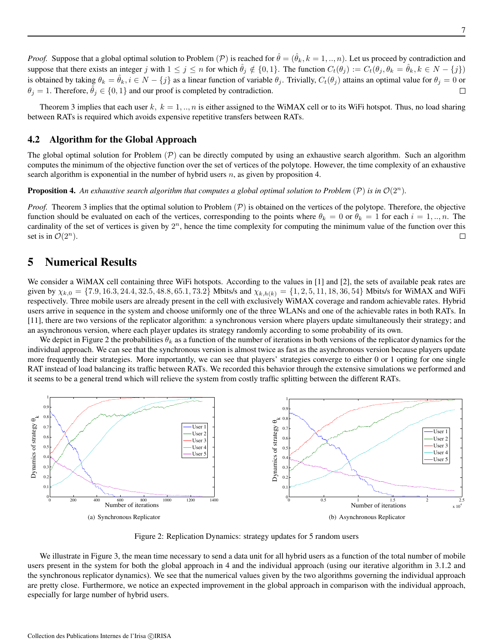Theorem 3 implies that each user  $k, k = 1, ..., n$  is either assigned to the WiMAX cell or to its WiFi hotspot. Thus, no load sharing between RATs is required which avoids expensive repetitive transfers between RATs.

#### 4.2 Algorithm for the Global Approach

The global optimal solution for Problem  $(\mathcal{P})$  can be directly computed by using an exhaustive search algorithm. Such an algorithm computes the minimum of the objective function over the set of vertices of the polytope. However, the time complexity of an exhaustive search algorithm is exponential in the number of hybrid users  $n$ , as given by proposition 4.

**Proposition 4.** An exhaustive search algorithm that computes a global optimal solution to Problem  $(\mathcal{P})$  is in  $\mathcal{O}(2^n)$ .

*Proof.* Theorem 3 implies that the optimal solution to Problem  $(\mathcal{P})$  is obtained on the vertices of the polytope. Therefore, the objective function should be evaluated on each of the vertices, corresponding to the points where  $\theta_k = 0$  or  $\theta_k = 1$  for each  $i = 1, ..., n$ . The cardinality of the set of vertices is given by  $2^n$ , hence the time complexity for computing the minimum value of the function over this set is in  $\mathcal{O}(2^n)$ .  $\Box$ 

# 5 Numerical Results

We consider a WiMAX cell containing three WiFi hotspots. According to the values in [1] and [2], the sets of available peak rates are given by  $\chi_{k,0} = \{7.9, 16.3, 24.4, 32.5, 48.8, 65.1, 73.2\}$  Mbits/s and  $\chi_{k,h(k)} = \{1, 2, 5, 11, 18, 36, 54\}$  Mbits/s for WiMAX and WiFi respectively. Three mobile users are already present in the cell with exclusively WiMAX coverage and random achievable rates. Hybrid users arrive in sequence in the system and choose uniformly one of the three WLANs and one of the achievable rates in both RATs. In [11], there are two versions of the replicator algorithm: a synchronous version where players update simultaneously their strategy; and an asynchronous version, where each player updates its strategy randomly according to some probability of its own.

We depict in Figure 2 the probabilities  $\theta_k$  as a function of the number of iterations in both versions of the replicator dynamics for the individual approach. We can see that the synchronous version is almost twice as fast as the asynchronous version because players update more frequently their strategies. More importantly, we can see that players' strategies converge to either 0 or 1 opting for one single RAT instead of load balancing its traffic between RATs. We recorded this behavior through the extensive simulations we performed and it seems to be a general trend which will relieve the system from costly traffic splitting between the different RATs.



Figure 2: Replication Dynamics: strategy updates for 5 random users

We illustrate in Figure 3, the mean time necessary to send a data unit for all hybrid users as a function of the total number of mobile users present in the system for both the global approach in 4 and the individual approach (using our iterative algorithm in 3.1.2 and the synchronous replicator dynamics). We see that the numerical values given by the two algorithms governing the individual approach are pretty close. Furthermore, we notice an expected improvement in the global approach in comparison with the individual approach, especially for large number of hybrid users.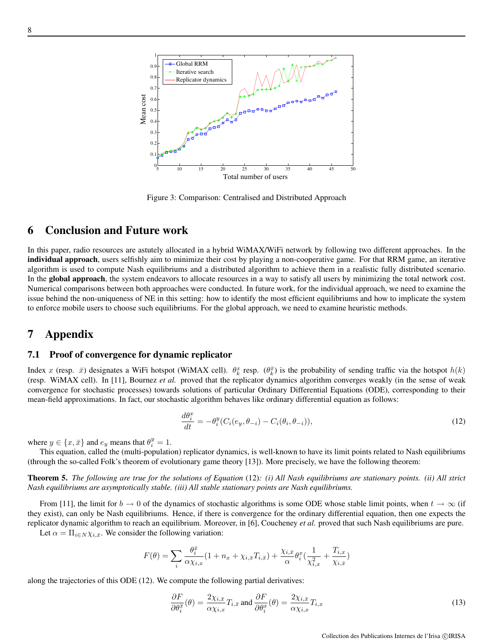

Figure 3: Comparison: Centralised and Distributed Approach

# 6 Conclusion and Future work

In this paper, radio resources are astutely allocated in a hybrid WiMAX/WiFi network by following two different approaches. In the individual approach, users selfishly aim to minimize their cost by playing a non-cooperative game. For that RRM game, an iterative algorithm is used to compute Nash equilibriums and a distributed algorithm to achieve them in a realistic fully distributed scenario. In the global approach, the system endeavors to allocate resources in a way to satisfy all users by minimizing the total network cost. Numerical comparisons between both approaches were conducted. In future work, for the individual approach, we need to examine the issue behind the non-uniqueness of NE in this setting: how to identify the most efficient equilibriums and how to implicate the system to enforce mobile users to choose such equilibriums. For the global approach, we need to examine heuristic methods.

### 7 Appendix

#### 7.1 Proof of convergence for dynamic replicator

Index x (resp.  $\bar{x}$ ) designates a WiFi hotspot (WiMAX cell).  $\theta_k^x$  resp.  $(\theta_k^{\bar{x}})$  is the probability of sending traffic via the hotspot  $h(k)$ (resp. WiMAX cell). In [11], Bournez *et al.* proved that the replicator dynamics algorithm converges weakly (in the sense of weak convergence for stochastic processes) towards solutions of particular Ordinary Differential Equations (ODE), corresponding to their mean-field approximations. In fact, our stochastic algorithm behaves like ordinary differential equation as follows:

$$
\frac{d\theta_i^x}{dt} = -\theta_i^y (C_i(e_y, \theta_{-i}) - C_i(\theta_i, \theta_{-i})),\tag{12}
$$

where  $y \in \{x, \bar{x}\}\$  and  $e_y$  means that  $\theta_i^y = 1$ .

This equation, called the (multi-population) replicator dynamics, is well-known to have its limit points related to Nash equilibriums (through the so-called Folk's theorem of evolutionary game theory [13]). More precisely, we have the following theorem:

Theorem 5. *The following are true for the solutions of Equation* (12)*: (i) All Nash equilibriums are stationary points. (ii) All strict Nash equilibriums are asymptotically stable. (iii) All stable stationary points are Nash equilibriums.*

From [11], the limit for  $b \to 0$  of the dynamics of stochastic algorithms is some ODE whose stable limit points, when  $t \to \infty$  (if they exist), can only be Nash equilibriums. Hence, if there is convergence for the ordinary differential equation, then one expects the replicator dynamic algorithm to reach an equilibrium. Moreover, in [6], Coucheney *et al.* proved that such Nash equilibriums are pure. Let  $\alpha = \prod_{i \in N} \chi_{i,\bar{x}}$ . We consider the following variation:

$$
F(\theta) = \sum_i \frac{\theta_i^{\bar x}}{\alpha \chi_{i,x}} (1+n_x+\chi_{i,\bar x}T_{i,\bar x}) + \frac{\chi_{i,\bar x}}{\alpha} \theta_i^x (\frac{1}{\chi_{i,x}^2} + \frac{T_{i,x}}{\chi_{i,\bar x}})
$$

along the trajectories of this ODE (12). We compute the following partial derivatives:

$$
\frac{\partial F}{\partial \theta_i^{\bar{x}}}(\theta) = \frac{2\chi_{i,\bar{x}}}{\alpha \chi_{i,x}} T_{i,\bar{x}} \text{ and } \frac{\partial F}{\partial \theta_i^x}(\theta) = \frac{2\chi_{i,\bar{x}}}{\alpha \chi_{i,x}} T_{i,x}
$$
(13)